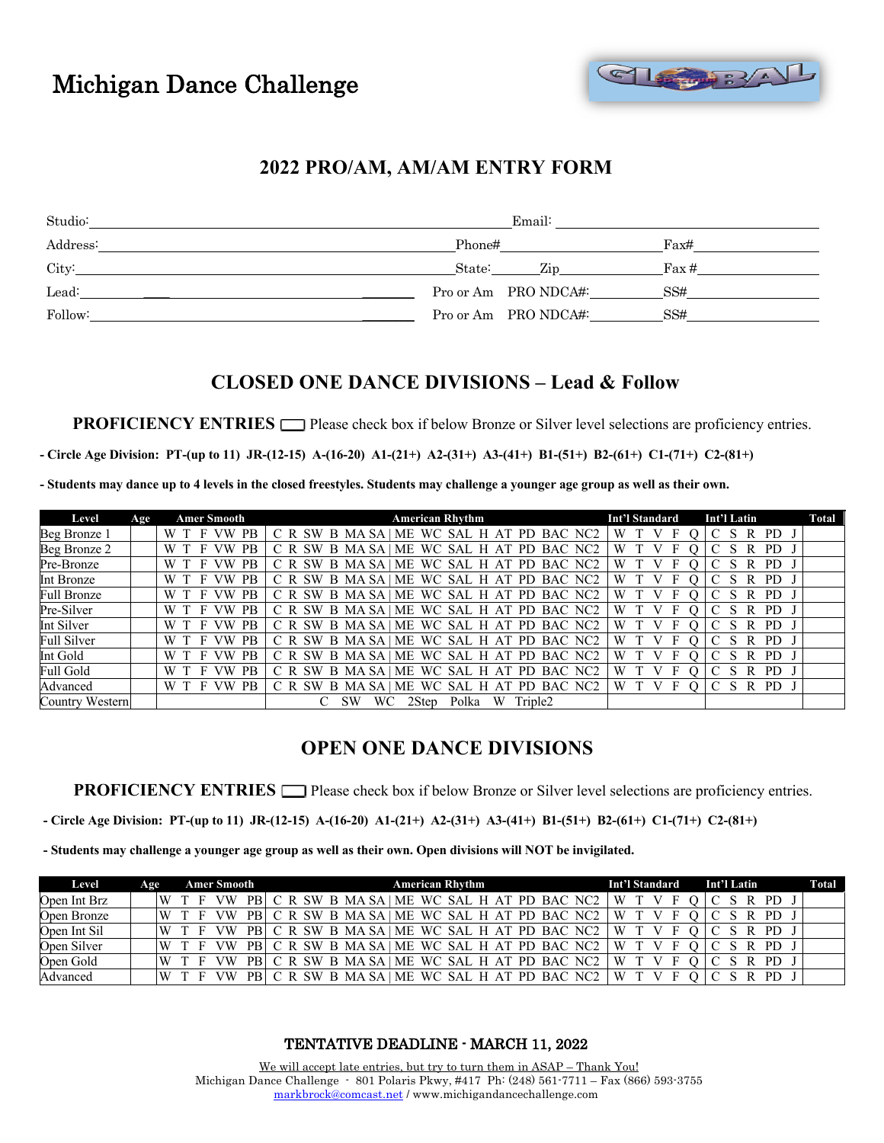# Michigan Dance Challenge



#### **2022 PRO/AM, AM/AM ENTRY FORM**

| Studio:  | Email:               |       |
|----------|----------------------|-------|
| Address: | Phone#               | Fax#  |
| City:    | State:<br>Zip        | Fax # |
| Lead:    | Pro or Am PRO NDCA#: | SS#   |
| Follow:  | Pro or Am PRO NDCA#: | SS#   |

### **CLOSED ONE DANCE DIVISIONS – Lead & Follow**

**PROFICIENCY ENTRIES**  $\Box$  Please check box if below Bronze or Silver level selections are proficiency entries.

**- Circle Age Division: PT-(up to 11) JR-(12-15) A-(16-20) A1-(21+) A2-(31+) A3-(41+) B1-(51+) B2-(61+) C1-(71+) C2-(81+)**

**- Students may dance up to 4 levels in the closed freestyles. Students may challenge a younger age group as well as their own.**

| Level           | Age | <b>Amer Smooth</b>            | <b>American Rhythm</b>                            | Int'l Standard | Int'l Latin              | Total |
|-----------------|-----|-------------------------------|---------------------------------------------------|----------------|--------------------------|-------|
| Beg Bronze 1    |     | PB.<br>W T<br>F VW            | C R SW B MA SA   ME WC SAL H AT PD BAC NC2        | W              | <b>PD</b>                |       |
| Beg Bronze 2    |     | F VW<br>PB<br>W T             | C R SW B MA SA   ME WC SAL H AT PD BAC NC2        | W T            | PD.<br><sub>S</sub><br>R |       |
| Pre-Bronze      |     | <b>PB</b><br>W T<br>F VW      | C R SW B MA SA   ME WC SAL H AT PD BAC NC2        | W              | PD.<br>R                 |       |
| Int Bronze      |     | <b>PB</b><br>W T<br>VW        | C R SW B MA SA   ME WC SAL H AT PD BAC NC2        | W              | PD.<br>R                 |       |
| Full Bronze     |     | <b>PB</b><br>W T<br>F VW      | C R SW B MA SA   ME WC SAL H AT PD BAC NC2        | W              | PD.<br>R                 |       |
| Pre-Silver      |     | PB.<br>W T<br>VW              | C R SW B MA SA   ME WC SAL H AT PD BAC NC2        | W              | PD.                      |       |
| Int Silver      |     | F VW<br><b>PB</b><br>W T      | C R SW B MA SA   ME WC SAL H AT PD BAC NC2        | W T            | S R PD                   |       |
| Full Silver     |     | F VW<br><b>PB</b><br>W T      | C R SW B MA SA   ME WC SAL H AT PD BAC NC2        | W              | R<br>PD.<br>S.           |       |
| Int Gold        |     | <b>PB</b><br>W T<br>F<br>VW   | C R SW B MA SA   ME WC SAL H AT PD BAC NC2        | W              | PD.<br>R                 |       |
| Full Gold       |     | <b>PB</b><br><b>VW</b><br>W T | C R SW B MA SA ME WC SAL H AT PD BAC NC2          | W              | PD.<br>R                 |       |
| Advanced        |     | W T<br>PB<br>F VW             | C R SW B MASA<br>WC SAL H AT<br>ME<br>PD BAC NC2  | W              | R<br>PD.                 |       |
| Country Western |     |                               | <b>SW</b><br>W<br>WС<br>Polka<br>Triple2<br>2Step |                |                          |       |

#### **OPEN ONE DANCE DIVISIONS**

**PROFICIENCY ENTRIES**  $\Box$  Please check box if below Bronze or Silver level selections are proficiency entries.

**- Circle Age Division: PT-(up to 11) JR-(12-15) A-(16-20) A1-(21+) A2-(31+) A3-(41+) B1-(51+) B2-(61+) C1-(71+) C2-(81+)**

**- Students may challenge a younger age group as well as their own. Open divisions will NOT be invigilated.**

| Level        | Age |             | <b>Amer Smooth</b> |     |  |  | <b>American Rhythm</b> |  |  |  |  |                                                         |       |         | <b>Int'l Standard</b> |  |  |  |  | Int'l Latin |  |  |  |
|--------------|-----|-------------|--------------------|-----|--|--|------------------------|--|--|--|--|---------------------------------------------------------|-------|---------|-----------------------|--|--|--|--|-------------|--|--|--|
| Open Int Brz |     | W T F VW PB |                    |     |  |  |                        |  |  |  |  | C R SW B MA SA ME WC SAL H AT PD BAC NC2 $\mid$ W T V F |       |         |                       |  |  |  |  | C S R PD J  |  |  |  |
| Open Bronze  |     | W T F VW PB |                    |     |  |  |                        |  |  |  |  | C R SW B MA SA ME WC SAL H AT PD BAC NC2                |       | W T V F |                       |  |  |  |  | S R PD J    |  |  |  |
| Open Int Sil |     | W T F VW PB |                    |     |  |  |                        |  |  |  |  | C R SW B MA SA   ME WC SAL H AT PD BAC NC2   W T V F    |       |         |                       |  |  |  |  | S R PD 3    |  |  |  |
| Open Silver  |     | W T F       | VW                 | PBI |  |  |                        |  |  |  |  | C R SW B MA SA   ME WC SAL H AT PD BAC NC2              | W T V |         |                       |  |  |  |  | R PD        |  |  |  |
| Open Gold    |     | W T F       | <b>VW</b>          | PBI |  |  |                        |  |  |  |  | C R SW B MA SA ME WC SAL H AT PD BAC NC2                |       | W T V   |                       |  |  |  |  | R PD        |  |  |  |
| Advanced     |     | W T F       |                    |     |  |  |                        |  |  |  |  | C R SW B MA SA   ME WC SAL H AT PD BAC NC2              | W     |         |                       |  |  |  |  | PD.         |  |  |  |

TENTATIVE DEADLINE - MARCH 11, 2022